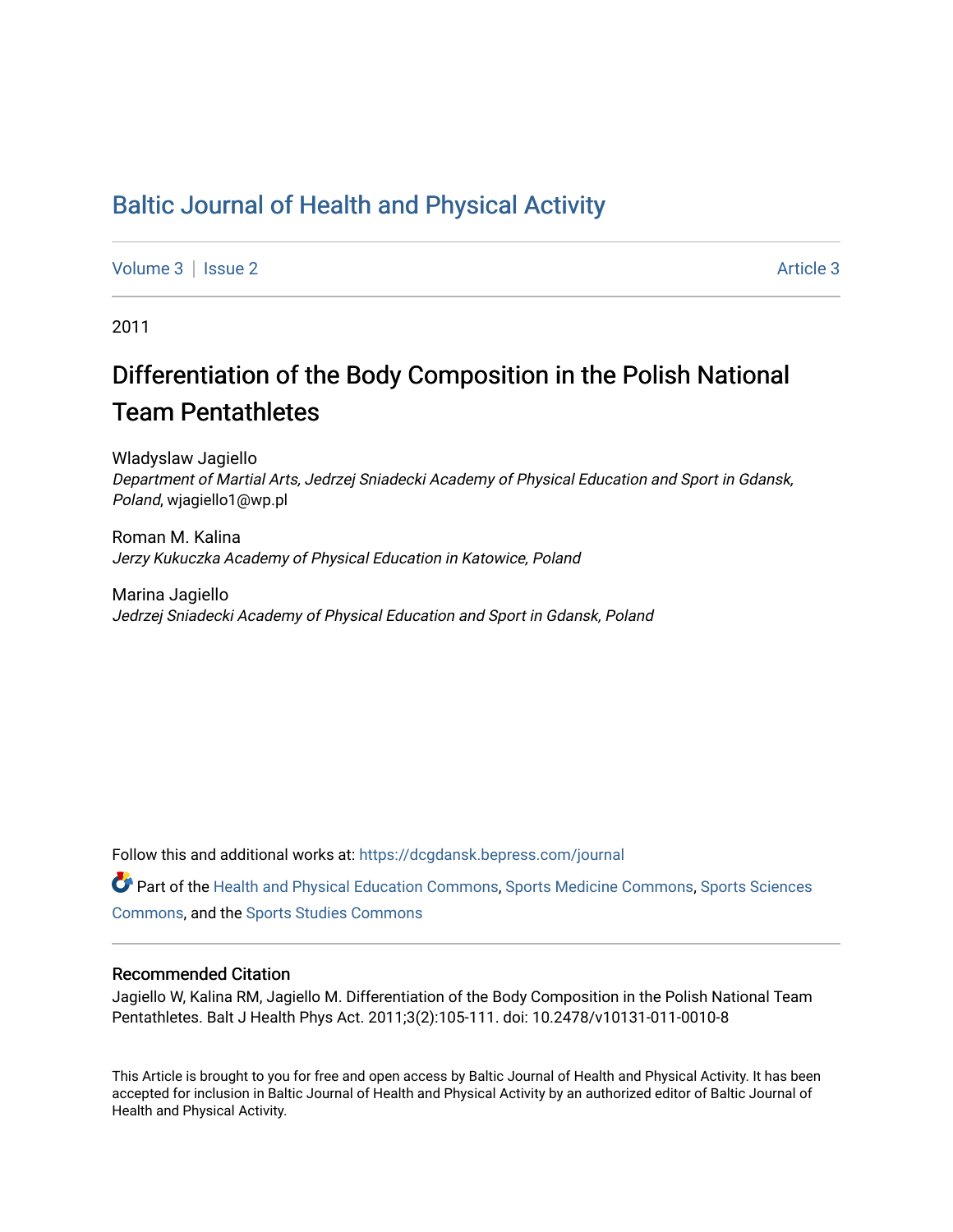## [Baltic Journal of Health and Physical Activity](https://dcgdansk.bepress.com/journal)

[Volume 3](https://dcgdansk.bepress.com/journal/vol3) | [Issue 2](https://dcgdansk.bepress.com/journal/vol3/iss2) Article 3

2011

# Differentiation of the Body Composition in the Polish National Team Pentathletes

Wladyslaw Jagiello Department of Martial Arts, Jedrzej Sniadecki Academy of Physical Education and Sport in Gdansk, Poland, wjagiello1@wp.pl

Roman M. Kalina Jerzy Kukuczka Academy of Physical Education in Katowice, Poland

Marina Jagiello Jedrzej Sniadecki Academy of Physical Education and Sport in Gdansk, Poland

Follow this and additional works at: [https://dcgdansk.bepress.com/journal](https://dcgdansk.bepress.com/journal?utm_source=dcgdansk.bepress.com%2Fjournal%2Fvol3%2Fiss2%2F3&utm_medium=PDF&utm_campaign=PDFCoverPages)

Part of the [Health and Physical Education Commons](http://network.bepress.com/hgg/discipline/1327?utm_source=dcgdansk.bepress.com%2Fjournal%2Fvol3%2Fiss2%2F3&utm_medium=PDF&utm_campaign=PDFCoverPages), [Sports Medicine Commons,](http://network.bepress.com/hgg/discipline/1331?utm_source=dcgdansk.bepress.com%2Fjournal%2Fvol3%2Fiss2%2F3&utm_medium=PDF&utm_campaign=PDFCoverPages) [Sports Sciences](http://network.bepress.com/hgg/discipline/759?utm_source=dcgdansk.bepress.com%2Fjournal%2Fvol3%2Fiss2%2F3&utm_medium=PDF&utm_campaign=PDFCoverPages) [Commons](http://network.bepress.com/hgg/discipline/759?utm_source=dcgdansk.bepress.com%2Fjournal%2Fvol3%2Fiss2%2F3&utm_medium=PDF&utm_campaign=PDFCoverPages), and the [Sports Studies Commons](http://network.bepress.com/hgg/discipline/1198?utm_source=dcgdansk.bepress.com%2Fjournal%2Fvol3%2Fiss2%2F3&utm_medium=PDF&utm_campaign=PDFCoverPages) 

#### Recommended Citation

Jagiello W, Kalina RM, Jagiello M. Differentiation of the Body Composition in the Polish National Team Pentathletes. Balt J Health Phys Act. 2011;3(2):105-111. doi: 10.2478/v10131-011-0010-8

This Article is brought to you for free and open access by Baltic Journal of Health and Physical Activity. It has been accepted for inclusion in Baltic Journal of Health and Physical Activity by an authorized editor of Baltic Journal of Health and Physical Activity.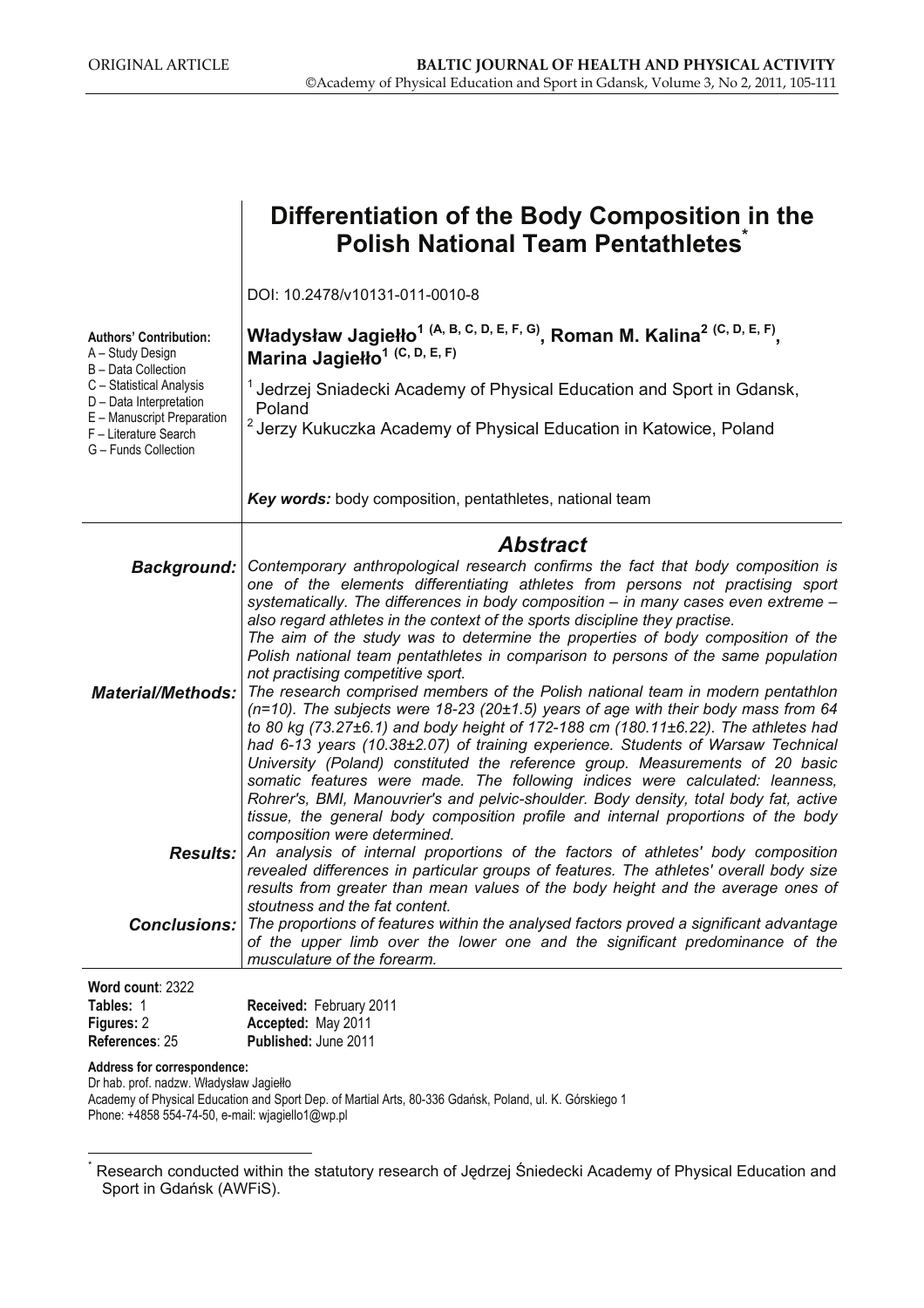|                                                                                                                                                               | Differentiation of the Body Composition in the<br><b>Polish National Team Pentathletes</b>                                                                                                                                                                                                                                                                                                                                                                                                                                                                                                                   |  |  |  |  |  |  |
|---------------------------------------------------------------------------------------------------------------------------------------------------------------|--------------------------------------------------------------------------------------------------------------------------------------------------------------------------------------------------------------------------------------------------------------------------------------------------------------------------------------------------------------------------------------------------------------------------------------------------------------------------------------------------------------------------------------------------------------------------------------------------------------|--|--|--|--|--|--|
|                                                                                                                                                               |                                                                                                                                                                                                                                                                                                                                                                                                                                                                                                                                                                                                              |  |  |  |  |  |  |
|                                                                                                                                                               | DOI: 10.2478/v10131-011-0010-8                                                                                                                                                                                                                                                                                                                                                                                                                                                                                                                                                                               |  |  |  |  |  |  |
| <b>Authors' Contribution:</b><br>A – Study Design<br>B - Data Collection<br>C - Statistical Analysis<br>D - Data Interpretation<br>E - Manuscript Preparation | Władysław Jagiełło <sup>1 (A, B, C, D, E, F, G)</sup> , Roman M. Kalina <sup>2 (C, D, E, F)</sup> ,<br>Marina Jagiełło <sup>1 (C, D, E, F)</sup>                                                                                                                                                                                                                                                                                                                                                                                                                                                             |  |  |  |  |  |  |
|                                                                                                                                                               | <sup>1</sup> Jedrzej Sniadecki Academy of Physical Education and Sport in Gdansk,<br>Poland                                                                                                                                                                                                                                                                                                                                                                                                                                                                                                                  |  |  |  |  |  |  |
| F - Literature Search<br>G - Funds Collection                                                                                                                 | <sup>2</sup> Jerzy Kukuczka Academy of Physical Education in Katowice, Poland                                                                                                                                                                                                                                                                                                                                                                                                                                                                                                                                |  |  |  |  |  |  |
|                                                                                                                                                               | Key words: body composition, pentathletes, national team                                                                                                                                                                                                                                                                                                                                                                                                                                                                                                                                                     |  |  |  |  |  |  |
|                                                                                                                                                               | <b>Abstract</b>                                                                                                                                                                                                                                                                                                                                                                                                                                                                                                                                                                                              |  |  |  |  |  |  |
| <b>Background:</b>                                                                                                                                            | Contemporary anthropological research confirms the fact that body composition is<br>one of the elements differentiating athletes from persons not practising sport<br>systematically. The differences in body composition - in many cases even extreme -<br>also regard athletes in the context of the sports discipline they practise.                                                                                                                                                                                                                                                                      |  |  |  |  |  |  |
|                                                                                                                                                               | The aim of the study was to determine the properties of body composition of the<br>Polish national team pentathletes in comparison to persons of the same population<br>not practising competitive sport.                                                                                                                                                                                                                                                                                                                                                                                                    |  |  |  |  |  |  |
| <b>Material/Methods:</b>                                                                                                                                      | The research comprised members of the Polish national team in modern pentathlon<br>$(n=10)$ . The subjects were 18-23 (20±1.5) years of age with their body mass from 64<br>to 80 kg (73.27±6.1) and body height of 172-188 cm (180.11±6.22). The athletes had<br>had 6-13 years (10.38±2.07) of training experience. Students of Warsaw Technical<br>University (Poland) constituted the reference group. Measurements of 20 basic<br>somatic features were made. The following indices were calculated: leanness,<br>Rohrer's, BMI, Manouvrier's and pelvic-shoulder. Body density, total body fat, active |  |  |  |  |  |  |
|                                                                                                                                                               | tissue, the general body composition profile and internal proportions of the body<br>composition were determined.                                                                                                                                                                                                                                                                                                                                                                                                                                                                                            |  |  |  |  |  |  |
|                                                                                                                                                               | <b>Results:</b> An analysis of internal proportions of the factors of athletes' body composition<br>revealed differences in particular groups of features. The athletes' overall body size<br>results from greater than mean values of the body height and the average ones of                                                                                                                                                                                                                                                                                                                               |  |  |  |  |  |  |
| Conclusions:                                                                                                                                                  | stoutness and the fat content.<br>The proportions of features within the analysed factors proved a significant advantage<br>of the upper limb over the lower one and the significant predominance of the<br>musculature of the forearm.                                                                                                                                                                                                                                                                                                                                                                      |  |  |  |  |  |  |
| Word count: 2322                                                                                                                                              |                                                                                                                                                                                                                                                                                                                                                                                                                                                                                                                                                                                                              |  |  |  |  |  |  |
| Tables: 1                                                                                                                                                     | Received: February 2011                                                                                                                                                                                                                                                                                                                                                                                                                                                                                                                                                                                      |  |  |  |  |  |  |
| Figures: 2<br>References: 25                                                                                                                                  | Accepted: May 2011<br>Published: June 2011                                                                                                                                                                                                                                                                                                                                                                                                                                                                                                                                                                   |  |  |  |  |  |  |
| Address for correspondence:<br>Dr hab. prof. nadzw. Władysław Jagiełło                                                                                        |                                                                                                                                                                                                                                                                                                                                                                                                                                                                                                                                                                                                              |  |  |  |  |  |  |

Academy of Physical Education and Sport Dep. of Martial Arts, 80-336 Gdańsk, Poland, ul. K. Górskiego 1 Phone: +4858 554-74-50, e-mail: wjagiello1@wp.pl

 $\overline{a}$ \*

Research conducted within the statutory research of Jędrzej Śniedecki Academy of Physical Education and Sport in Gdańsk (AWFiS).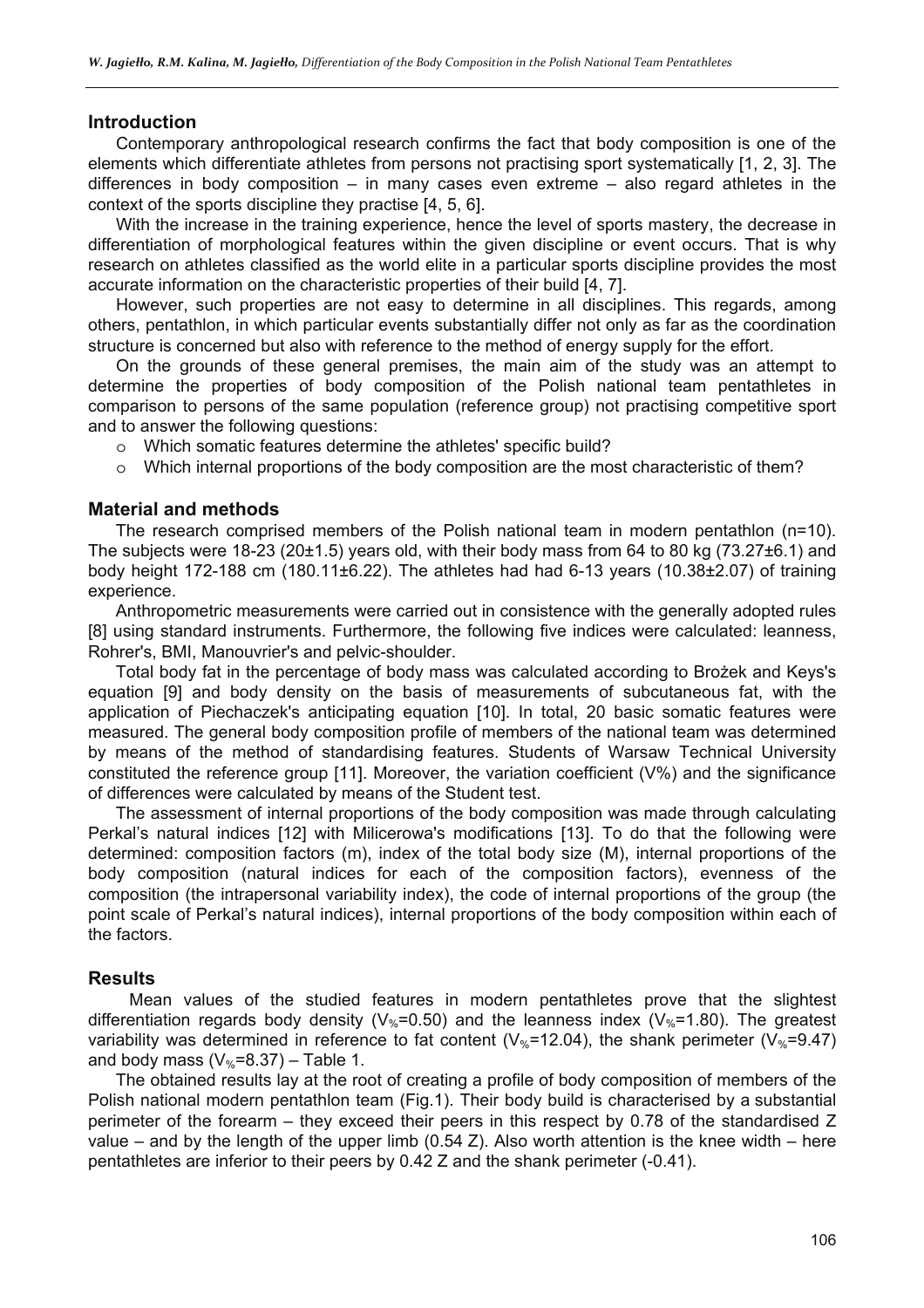#### **Introduction**

Contemporary anthropological research confirms the fact that body composition is one of the elements which differentiate athletes from persons not practising sport systematically [1, 2, 3]. The differences in body composition – in many cases even extreme – also regard athletes in the context of the sports discipline they practise [4, 5, 6].

With the increase in the training experience, hence the level of sports mastery, the decrease in differentiation of morphological features within the given discipline or event occurs. That is why research on athletes classified as the world elite in a particular sports discipline provides the most accurate information on the characteristic properties of their build [4, 7].

However, such properties are not easy to determine in all disciplines. This regards, among others, pentathlon, in which particular events substantially differ not only as far as the coordination structure is concerned but also with reference to the method of energy supply for the effort.

On the grounds of these general premises, the main aim of the study was an attempt to determine the properties of body composition of the Polish national team pentathletes in comparison to persons of the same population (reference group) not practising competitive sport and to answer the following questions:

- o Which somatic features determine the athletes' specific build?
- o Which internal proportions of the body composition are the most characteristic of them?

#### **Material and methods**

The research comprised members of the Polish national team in modern pentathlon (n=10). The subjects were 18-23 (20±1.5) years old, with their body mass from 64 to 80 kg (73.27±6.1) and body height 172-188 cm (180.11±6.22). The athletes had had 6-13 years (10.38±2.07) of training experience.

Anthropometric measurements were carried out in consistence with the generally adopted rules [8] using standard instruments. Furthermore, the following five indices were calculated: leanness, Rohrer's, BMI, Manouvrier's and pelvic-shoulder.

Total body fat in the percentage of body mass was calculated according to Brożek and Keys's equation [9] and body density on the basis of measurements of subcutaneous fat, with the application of Piechaczek's anticipating equation [10]. In total, 20 basic somatic features were measured. The general body composition profile of members of the national team was determined by means of the method of standardising features. Students of Warsaw Technical University constituted the reference group [11]. Moreover, the variation coefficient (V%) and the significance of differences were calculated by means of the Student test.

The assessment of internal proportions of the body composition was made through calculating Perkal's natural indices [12] with Milicerowa's modifications [13]. To do that the following were determined: composition factors (m), index of the total body size (M), internal proportions of the body composition (natural indices for each of the composition factors), evenness of the composition (the intrapersonal variability index), the code of internal proportions of the group (the point scale of Perkal's natural indices), internal proportions of the body composition within each of the factors.

#### **Results**

Mean values of the studied features in modern pentathletes prove that the slightest differentiation regards body density ( $V_{\%}=0.50$ ) and the leanness index ( $V_{\%}=1.80$ ). The greatest variability was determined in reference to fat content ( $V_{\%}=12.04$ ), the shank perimeter ( $V_{\%}=9.47$ ) and body mass  $(V_{\%}=8.37)$  – Table 1.

The obtained results lay at the root of creating a profile of body composition of members of the Polish national modern pentathlon team (Fig.1). Their body build is characterised by a substantial perimeter of the forearm – they exceed their peers in this respect by 0.78 of the standardised Z value – and by the length of the upper limb (0.54 Z). Also worth attention is the knee width – here pentathletes are inferior to their peers by 0.42 Z and the shank perimeter (-0.41).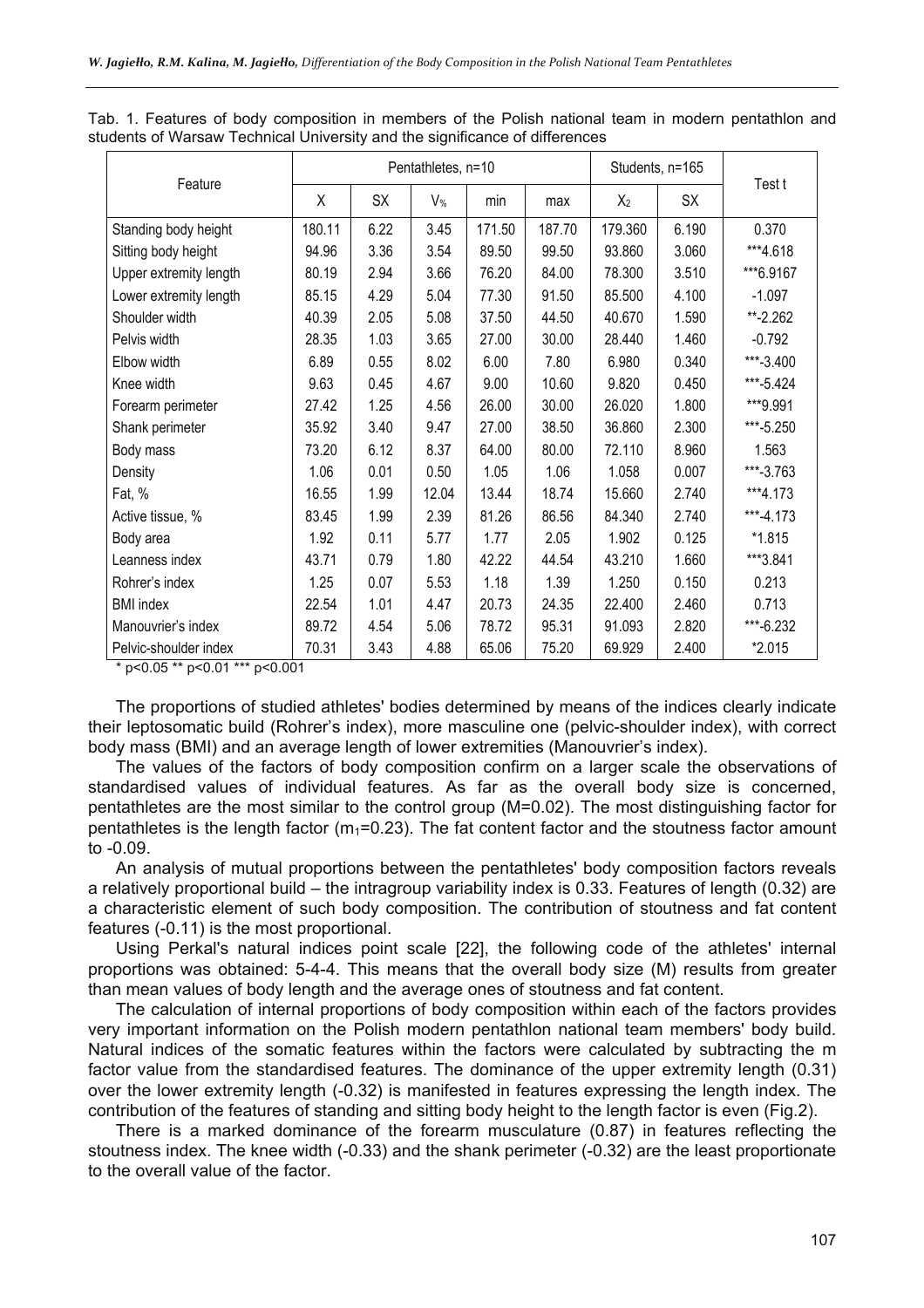|                        | Pentathletes, n=10 |      |                |        |        | Students, n=165 |       |              |
|------------------------|--------------------|------|----------------|--------|--------|-----------------|-------|--------------|
| Feature                | Χ                  | SX   | V <sub>%</sub> | min    | max    | $X_2$           | SX    | Test t       |
| Standing body height   | 180.11             | 6.22 | 3.45           | 171.50 | 187.70 | 179.360         | 6.190 | 0.370        |
| Sitting body height    | 94.96              | 3.36 | 3.54           | 89.50  | 99.50  | 93.860          | 3.060 | ***4.618     |
| Upper extremity length | 80.19              | 2.94 | 3.66           | 76.20  | 84.00  | 78.300          | 3.510 | ***6.9167    |
| Lower extremity length | 85.15              | 4.29 | 5.04           | 77.30  | 91.50  | 85.500          | 4.100 | $-1.097$     |
| Shoulder width         | 40.39              | 2.05 | 5.08           | 37.50  | 44.50  | 40.670          | 1.590 | $** - 2.262$ |
| Pelvis width           | 28.35              | 1.03 | 3.65           | 27.00  | 30.00  | 28.440          | 1.460 | $-0.792$     |
| Elbow width            | 6.89               | 0.55 | 8.02           | 6.00   | 7.80   | 6.980           | 0.340 | ***-3.400    |
| Knee width             | 9.63               | 0.45 | 4.67           | 9.00   | 10.60  | 9.820           | 0.450 | ***-5.424    |
| Forearm perimeter      | 27.42              | 1.25 | 4.56           | 26.00  | 30.00  | 26.020          | 1.800 | ***9.991     |
| Shank perimeter        | 35.92              | 3.40 | 9.47           | 27.00  | 38.50  | 36.860          | 2.300 | ***-5.250    |
| Body mass              | 73.20              | 6.12 | 8.37           | 64.00  | 80.00  | 72.110          | 8.960 | 1.563        |
| Density                | 1.06               | 0.01 | 0.50           | 1.05   | 1.06   | 1.058           | 0.007 | ***-3.763    |
| Fat, %                 | 16.55              | 1.99 | 12.04          | 13.44  | 18.74  | 15.660          | 2.740 | ***4.173     |
| Active tissue, %       | 83.45              | 1.99 | 2.39           | 81.26  | 86.56  | 84.340          | 2.740 | ***-4.173    |
| Body area              | 1.92               | 0.11 | 5.77           | 1.77   | 2.05   | 1.902           | 0.125 | $*1.815$     |
| Leanness index         | 43.71              | 0.79 | 1.80           | 42.22  | 44.54  | 43.210          | 1.660 | ***3.841     |
| Rohrer's index         | 1.25               | 0.07 | 5.53           | 1.18   | 1.39   | 1.250           | 0.150 | 0.213        |
| <b>BMI</b> index       | 22.54              | 1.01 | 4.47           | 20.73  | 24.35  | 22.400          | 2.460 | 0.713        |
| Manouvrier's index     | 89.72              | 4.54 | 5.06           | 78.72  | 95.31  | 91.093          | 2.820 | ***-6.232    |
| Pelvic-shoulder index  | 70.31              | 3.43 | 4.88           | 65.06  | 75.20  | 69.929          | 2.400 | *2.015       |

Tab. 1. Features of body composition in members of the Polish national team in modern pentathlon and students of Warsaw Technical University and the significance of differences

\* p<0.05 \*\* p<0.01 \*\*\* p<0.001

The proportions of studied athletes' bodies determined by means of the indices clearly indicate their leptosomatic build (Rohrer's index), more masculine one (pelvic-shoulder index), with correct body mass (BMI) and an average length of lower extremities (Manouvrier's index).

The values of the factors of body composition confirm on a larger scale the observations of standardised values of individual features. As far as the overall body size is concerned, pentathletes are the most similar to the control group (M=0.02). The most distinguishing factor for pentathletes is the length factor ( $m_1$ =0.23). The fat content factor and the stoutness factor amount to -0.09.

An analysis of mutual proportions between the pentathletes' body composition factors reveals a relatively proportional build – the intragroup variability index is 0.33. Features of length (0.32) are a characteristic element of such body composition. The contribution of stoutness and fat content features (-0.11) is the most proportional.

Using Perkal's natural indices point scale [22], the following code of the athletes' internal proportions was obtained: 5-4-4. This means that the overall body size (M) results from greater than mean values of body length and the average ones of stoutness and fat content.

The calculation of internal proportions of body composition within each of the factors provides very important information on the Polish modern pentathlon national team members' body build. Natural indices of the somatic features within the factors were calculated by subtracting the m factor value from the standardised features. The dominance of the upper extremity length (0.31) over the lower extremity length (-0.32) is manifested in features expressing the length index. The contribution of the features of standing and sitting body height to the length factor is even (Fig.2).

There is a marked dominance of the forearm musculature (0.87) in features reflecting the stoutness index. The knee width (-0.33) and the shank perimeter (-0.32) are the least proportionate to the overall value of the factor.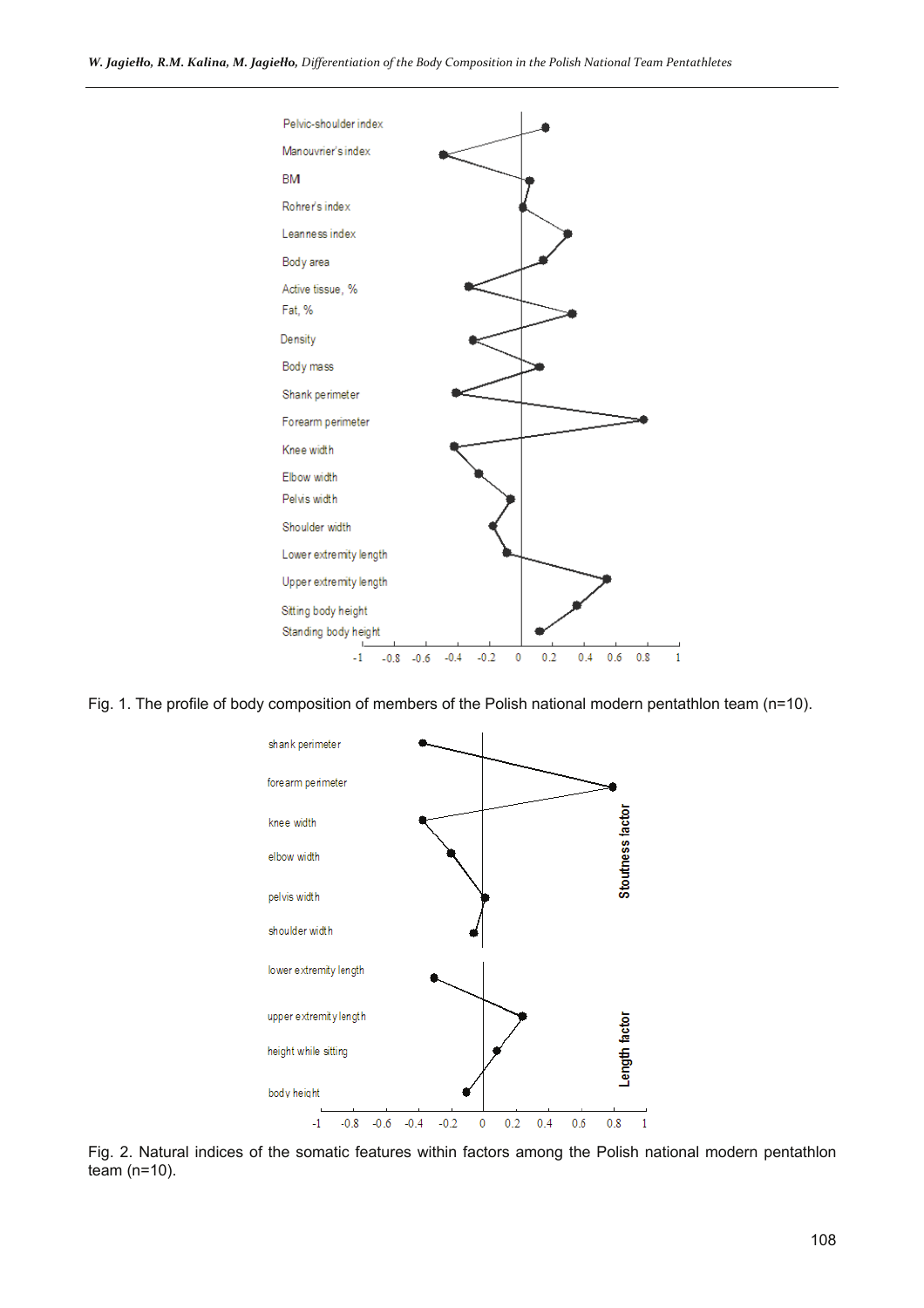

Fig. 1. The profile of body composition of members of the Polish national modern pentathlon team (n=10).



Fig. 2. Natural indices of the somatic features within factors among the Polish national modern pentathlon team (n=10).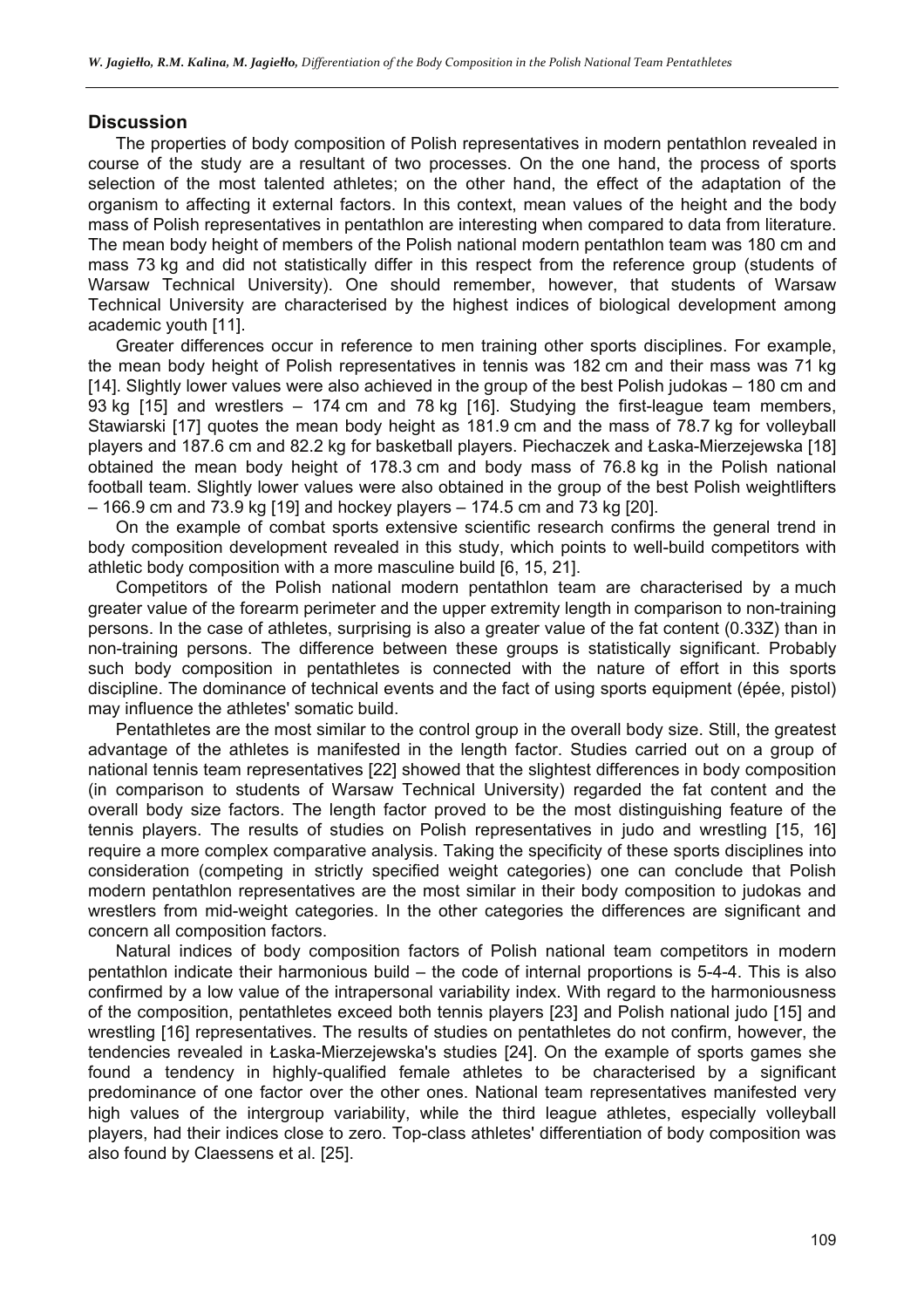#### **Discussion**

The properties of body composition of Polish representatives in modern pentathlon revealed in course of the study are a resultant of two processes. On the one hand, the process of sports selection of the most talented athletes; on the other hand, the effect of the adaptation of the organism to affecting it external factors. In this context, mean values of the height and the body mass of Polish representatives in pentathlon are interesting when compared to data from literature. The mean body height of members of the Polish national modern pentathlon team was 180 cm and mass 73 kg and did not statistically differ in this respect from the reference group (students of Warsaw Technical University). One should remember, however, that students of Warsaw Technical University are characterised by the highest indices of biological development among academic youth [11].

Greater differences occur in reference to men training other sports disciplines. For example, the mean body height of Polish representatives in tennis was 182 cm and their mass was 71 kg [14]. Slightly lower values were also achieved in the group of the best Polish judokas – 180 cm and 93 kg [15] and wrestlers – 174 cm and 78 kg [16]. Studying the first-league team members, Stawiarski [17] quotes the mean body height as 181.9 cm and the mass of 78.7 kg for volleyball players and 187.6 cm and 82.2 kg for basketball players. Piechaczek and Łaska-Mierzejewska [18] obtained the mean body height of 178.3 cm and body mass of 76.8 kg in the Polish national football team. Slightly lower values were also obtained in the group of the best Polish weightlifters – 166.9 cm and 73.9 kg [19] and hockey players – 174.5 cm and 73 kg [20].

On the example of combat sports extensive scientific research confirms the general trend in body composition development revealed in this study, which points to well-build competitors with athletic body composition with a more masculine build [6, 15, 21].

Competitors of the Polish national modern pentathlon team are characterised by a much greater value of the forearm perimeter and the upper extremity length in comparison to non-training persons. In the case of athletes, surprising is also a greater value of the fat content (0.33Z) than in non-training persons. The difference between these groups is statistically significant. Probably such body composition in pentathletes is connected with the nature of effort in this sports discipline. The dominance of technical events and the fact of using sports equipment (épée, pistol) may influence the athletes' somatic build.

Pentathletes are the most similar to the control group in the overall body size. Still, the greatest advantage of the athletes is manifested in the length factor. Studies carried out on a group of national tennis team representatives [22] showed that the slightest differences in body composition (in comparison to students of Warsaw Technical University) regarded the fat content and the overall body size factors. The length factor proved to be the most distinguishing feature of the tennis players. The results of studies on Polish representatives in judo and wrestling [15, 16] require a more complex comparative analysis. Taking the specificity of these sports disciplines into consideration (competing in strictly specified weight categories) one can conclude that Polish modern pentathlon representatives are the most similar in their body composition to judokas and wrestlers from mid-weight categories. In the other categories the differences are significant and concern all composition factors.

Natural indices of body composition factors of Polish national team competitors in modern pentathlon indicate their harmonious build – the code of internal proportions is 5-4-4. This is also confirmed by a low value of the intrapersonal variability index. With regard to the harmoniousness of the composition, pentathletes exceed both tennis players [23] and Polish national judo [15] and wrestling [16] representatives. The results of studies on pentathletes do not confirm, however, the tendencies revealed in Łaska-Mierzejewska's studies [24]. On the example of sports games she found a tendency in highly-qualified female athletes to be characterised by a significant predominance of one factor over the other ones. National team representatives manifested very high values of the intergroup variability, while the third league athletes, especially volleyball players, had their indices close to zero. Top-class athletes' differentiation of body composition was also found by Claessens et al. [25].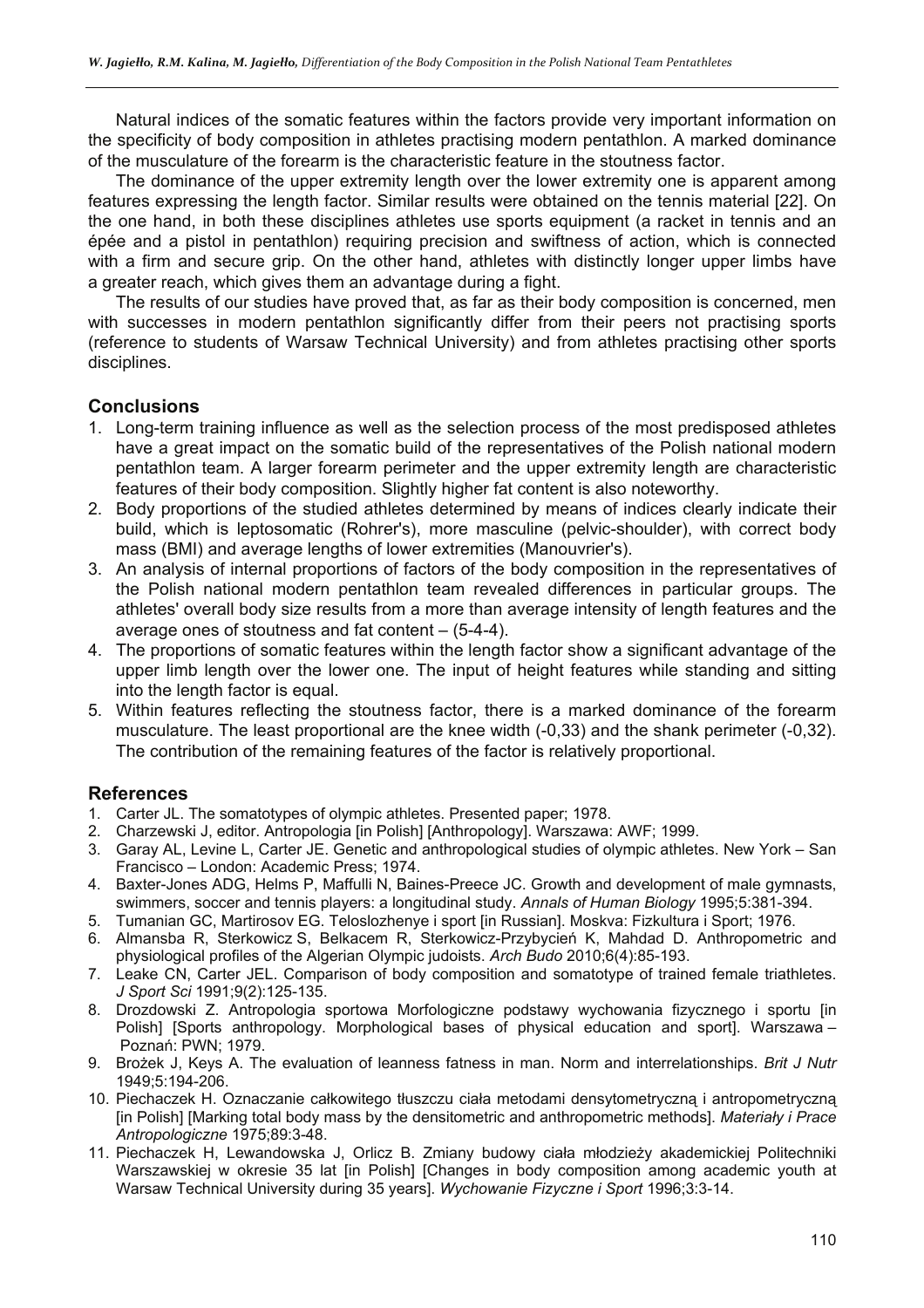Natural indices of the somatic features within the factors provide very important information on the specificity of body composition in athletes practising modern pentathlon. A marked dominance of the musculature of the forearm is the characteristic feature in the stoutness factor.

The dominance of the upper extremity length over the lower extremity one is apparent among features expressing the length factor. Similar results were obtained on the tennis material [22]. On the one hand, in both these disciplines athletes use sports equipment (a racket in tennis and an épée and a pistol in pentathlon) requiring precision and swiftness of action, which is connected with a firm and secure grip. On the other hand, athletes with distinctly longer upper limbs have a greater reach, which gives them an advantage during a fight.

The results of our studies have proved that, as far as their body composition is concerned, men with successes in modern pentathlon significantly differ from their peers not practising sports (reference to students of Warsaw Technical University) and from athletes practising other sports disciplines.

## **Conclusions**

- 1. Long-term training influence as well as the selection process of the most predisposed athletes have a great impact on the somatic build of the representatives of the Polish national modern pentathlon team. A larger forearm perimeter and the upper extremity length are characteristic features of their body composition. Slightly higher fat content is also noteworthy.
- 2. Body proportions of the studied athletes determined by means of indices clearly indicate their build, which is leptosomatic (Rohrer's), more masculine (pelvic-shoulder), with correct body mass (BMI) and average lengths of lower extremities (Manouvrier's).
- 3. An analysis of internal proportions of factors of the body composition in the representatives of the Polish national modern pentathlon team revealed differences in particular groups. The athletes' overall body size results from a more than average intensity of length features and the average ones of stoutness and fat content – (5-4-4).
- 4. The proportions of somatic features within the length factor show a significant advantage of the upper limb length over the lower one. The input of height features while standing and sitting into the length factor is equal.
- 5. Within features reflecting the stoutness factor, there is a marked dominance of the forearm musculature. The least proportional are the knee width (-0,33) and the shank perimeter (-0,32). The contribution of the remaining features of the factor is relatively proportional.

## **References**

- 1. Carter JL. The somatotypes of olympic athletes. Presented paper; 1978.
- 2. Charzewski J, editor. Antropologia [in Polish] [Anthropology]. Warszawa: AWF; 1999.
- 3. Garay AL, Levine L, Carter JE. Genetic and anthropological studies of olympic athletes. New York San Francisco – London: Academic Press; 1974.
- 4. Baxter-Jones ADG, Helms P, Maffulli N, Baines-Preece JC. Growth and development of male gymnasts, swimmers, soccer and tennis players: a longitudinal study. *Annals of Human Biology* 1995;5:381-394.
- 5. Tumanian GC, Martirosov EG. Teloslozhenye i sport [in Russian]. Moskva: Fizkultura i Sport; 1976.
- 6. Almansba R, Sterkowicz S, Belkacem R, Sterkowicz-Przybycień K, Mahdad D. Anthropometric and physiological profiles of the Algerian Olympic judoists. *Arch Budo* 2010;6(4):85-193.
- 7. Leake CN, Carter JEL. Comparison of body composition and somatotype of trained female triathletes. *J Sport Sci* 1991;9(2):125-135.
- 8. Drozdowski Z. Antropologia sportowa Morfologiczne podstawy wychowania fizycznego i sportu [in Polish] [Sports anthropology. Morphological bases of physical education and sport]. Warszawa – Poznań: PWN; 1979.
- 9. Brożek J, Keys A. The evaluation of leanness fatness in man. Norm and interrelationships. *Brit J Nutr* 1949;5:194-206.
- 10. Piechaczek H. Oznaczanie całkowitego tłuszczu ciała metodami densytometryczną i antropometryczną [in Polish] [Marking total body mass by the densitometric and anthropometric methods]. *Materiały i Prace Antropologiczne* 1975;89:3-48.
- 11. Piechaczek H, Lewandowska J, Orlicz B. Zmiany budowy ciała młodzieży akademickiej Politechniki Warszawskiej w okresie 35 lat [in Polish] [Changes in body composition among academic youth at Warsaw Technical University during 35 years]. *Wychowanie Fizyczne i Sport* 1996;3:3-14.